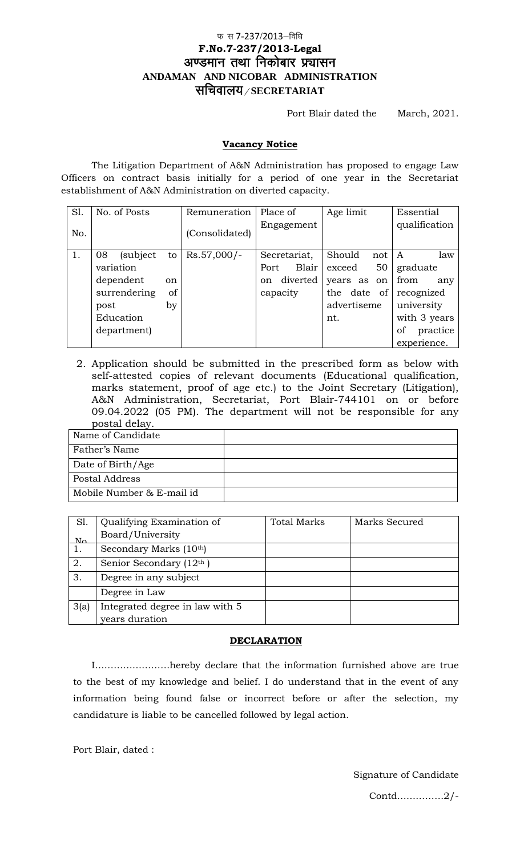## फ स 7-237/2013-विधि **F.No.7-237/2013-Legal** अण्डमान तथा निकोबार प्रचासन **ANDAMAN AND NICOBAR ADMINISTRATION** lfpoky;@**SECRETARIAT**

Port Blair dated the March, 2021.

## **Vacancy Notice**

The Litigation Department of A&N Administration has proposed to engage Law Officers on contract basis initially for a period of one year in the Secretariat establishment of A&N Administration on diverted capacity.

| S1. | No. of Posts   |    | Remuneration   | Place of       | Age limit     | Essential      |
|-----|----------------|----|----------------|----------------|---------------|----------------|
| No. |                |    | (Consolidated) | Engagement     |               | qualification  |
| 1.  | 08<br>(subject | to | $Rs.57,000/-$  | Secretariat,   | Should<br>not | law<br>A       |
|     | variation      |    |                | Blair<br>Port  | 50<br>exceed  | graduate       |
|     | dependent      | on |                | diverted<br>on | years as on   | from<br>any    |
|     | surrendering   | of |                | capacity       | the date of   | recognized     |
|     | post           | by |                |                | advertiseme   | university     |
|     | Education      |    |                |                | nt.           | with 3 years   |
|     | department)    |    |                |                |               | practice<br>of |
|     |                |    |                |                |               | experience.    |

2. Application should be submitted in the prescribed form as below with self-attested copies of relevant documents (Educational qualification, marks statement, proof of age etc.) to the Joint Secretary (Litigation), A&N Administration, Secretariat, Port Blair-744101 on or before 09.04.2022 (05 PM). The department will not be responsible for any postal delay.

| Name of Candidate         |  |
|---------------------------|--|
| Father's Name             |  |
| Date of Birth/Age         |  |
| Postal Address            |  |
| Mobile Number & E-mail id |  |

| Sl.                             | Qualifying Examination of<br>Board/University | <b>Total Marks</b> | Marks Secured |
|---------------------------------|-----------------------------------------------|--------------------|---------------|
| $\mathbf{M}\boldsymbol{\alpha}$ | Secondary Marks (10th)                        |                    |               |
| 2.                              | Senior Secondary (12th)                       |                    |               |
| 3.                              | Degree in any subject                         |                    |               |
|                                 | Degree in Law                                 |                    |               |
| 3(a)                            | Integrated degree in law with 5               |                    |               |
|                                 | years duration                                |                    |               |

## **DECLARATION**

I……………………hereby declare that the information furnished above are true to the best of my knowledge and belief. I do understand that in the event of any information being found false or incorrect before or after the selection, my candidature is liable to be cancelled followed by legal action.

Port Blair, dated :